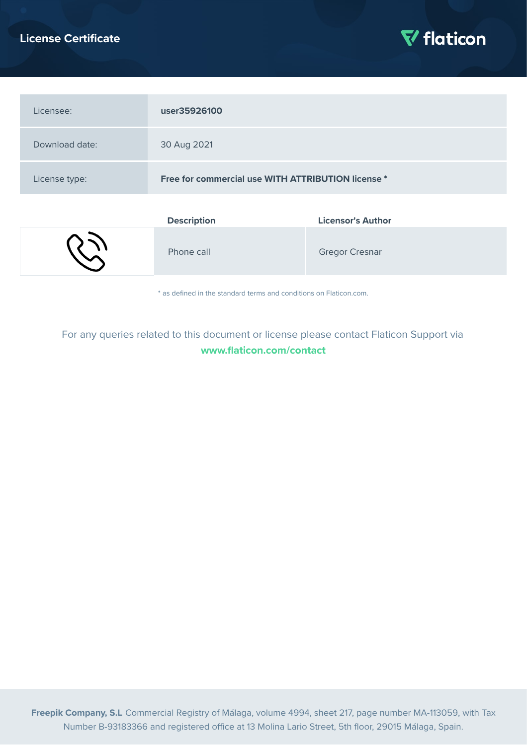# **License Certificate**



| Licensee:      | user35926100                                       |                          |
|----------------|----------------------------------------------------|--------------------------|
| Download date: | 30 Aug 2021                                        |                          |
| License type:  | Free for commercial use WITH ATTRIBUTION license * |                          |
|                | <b>Description</b>                                 | <b>Licensor's Author</b> |

|  | Phone call | <b>Gregor Cresnar</b> |
|--|------------|-----------------------|
|--|------------|-----------------------|

\* as defined in the standard terms and conditions on Flaticon.com.

For any queries related to this document or license please contact Flaticon Support via **[www.flaticon.com/contact](https://www.flaticon.com/contact)**

**Freepik Company, S.L** Commercial Registry of Málaga, volume 4994, sheet 217, page number MA-113059, with Tax Number B-93183366 and registered office at 13 Molina Lario Street, 5th floor, 29015 Málaga, Spain.